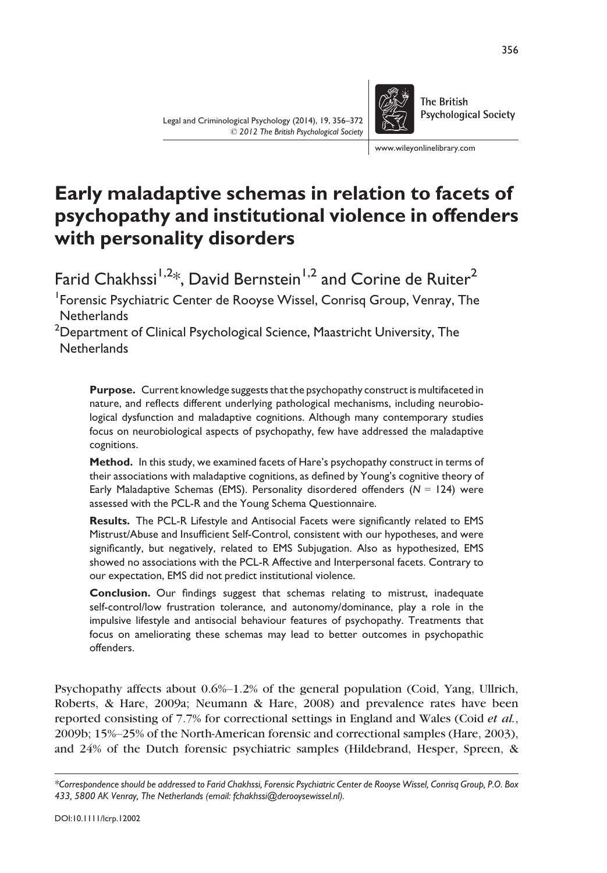

The British **Psychological Society** 

www.wileyonlinelibrary.com

# Early maladaptive schemas in relation to facets of psychopathy and institutional violence in offenders with personality disorders

Farid Chakhssi<sup>1,2\*</sup>, David Bernstein<sup>1,2</sup> and Corine de Ruiter<sup>2</sup>

<sup>1</sup> Forensic Psychiatric Center de Rooyse Wissel, Conrisq Group, Venray, The **Netherlands** 

 $^{\rm 2}$ Department of Clinical Psychological Science, Maastricht University, The **Netherlands** 

Purpose. Current knowledge suggests that the psychopathy construct is multifaceted in nature, and reflects different underlying pathological mechanisms, including neurobiological dysfunction and maladaptive cognitions. Although many contemporary studies focus on neurobiological aspects of psychopathy, few have addressed the maladaptive cognitions.

Method. In this study, we examined facets of Hare's psychopathy construct in terms of their associations with maladaptive cognitions, as defined by Young's cognitive theory of Early Maladaptive Schemas (EMS). Personality disordered offenders ( $N = 124$ ) were assessed with the PCL-R and the Young Schema Questionnaire.

Results. The PCL-R Lifestyle and Antisocial Facets were significantly related to EMS Mistrust/Abuse and Insufficient Self-Control, consistent with our hypotheses, and were significantly, but negatively, related to EMS Subjugation. Also as hypothesized, EMS showed no associations with the PCL-R Affective and Interpersonal facets. Contrary to our expectation, EMS did not predict institutional violence.

Conclusion. Our findings suggest that schemas relating to mistrust, inadequate self-control/low frustration tolerance, and autonomy/dominance, play a role in the impulsive lifestyle and antisocial behaviour features of psychopathy. Treatments that focus on ameliorating these schemas may lead to better outcomes in psychopathic offenders.

Psychopathy affects about 0.6%–1.2% of the general population (Coid, Yang, Ullrich, Roberts, & Hare, 2009a; Neumann & Hare, 2008) and prevalence rates have been reported consisting of 7.7% for correctional settings in England and Wales (Coid et al., 2009b; 15%–25% of the North-American forensic and correctional samples (Hare, 2003), and 24% of the Dutch forensic psychiatric samples (Hildebrand, Hesper, Spreen, &

<sup>\*</sup>Correspondence should be addressed to Farid Chakhssi, Forensic Psychiatric Center de Rooyse Wissel, Conrisq Group, P.O. Box 433, 5800 AK Venray, The Netherlands (email: fchakhssi@derooysewissel.nl).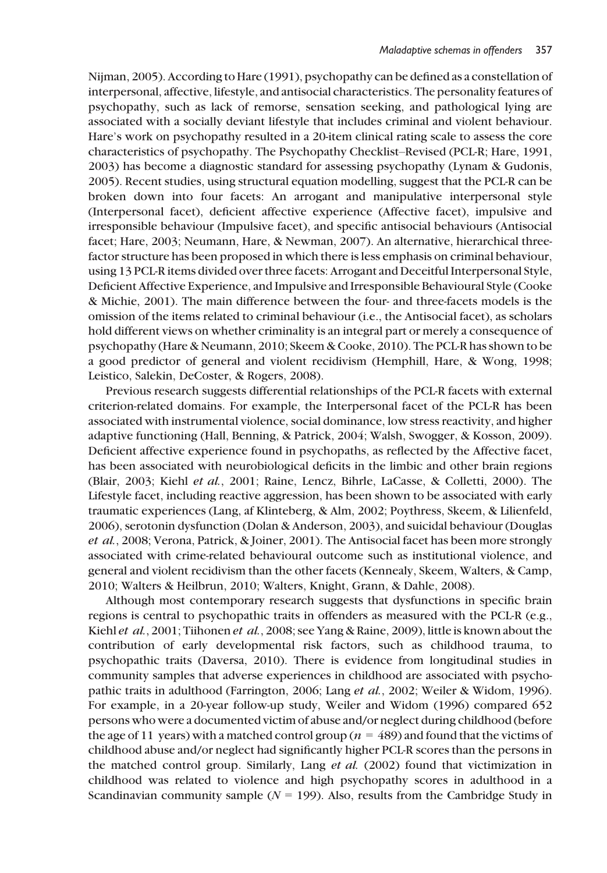Nijman, 2005). According to Hare (1991), psychopathy can be defined as a constellation of interpersonal, affective, lifestyle, and antisocial characteristics. The personality features of psychopathy, such as lack of remorse, sensation seeking, and pathological lying are associated with a socially deviant lifestyle that includes criminal and violent behaviour. Hare's work on psychopathy resulted in a 20-item clinical rating scale to assess the core characteristics of psychopathy. The Psychopathy Checklist–Revised (PCL-R; Hare, 1991, 2003) has become a diagnostic standard for assessing psychopathy (Lynam & Gudonis, 2005). Recent studies, using structural equation modelling, suggest that the PCL-R can be broken down into four facets: An arrogant and manipulative interpersonal style (Interpersonal facet), deficient affective experience (Affective facet), impulsive and irresponsible behaviour (Impulsive facet), and specific antisocial behaviours (Antisocial facet; Hare, 2003; Neumann, Hare, & Newman, 2007). An alternative, hierarchical threefactor structure has been proposed in which there is less emphasis on criminal behaviour, using 13 PCL-R items divided over three facets: Arrogant and Deceitful Interpersonal Style, Deficient Affective Experience, and Impulsive and Irresponsible Behavioural Style (Cooke & Michie, 2001). The main difference between the four- and three-facets models is the omission of the items related to criminal behaviour (i.e., the Antisocial facet), as scholars hold different views on whether criminality is an integral part or merely a consequence of psychopathy (Hare & Neumann, 2010; Skeem & Cooke, 2010). The PCL-R has shown to be a good predictor of general and violent recidivism (Hemphill, Hare, & Wong, 1998; Leistico, Salekin, DeCoster, & Rogers, 2008).

Previous research suggests differential relationships of the PCL-R facets with external criterion-related domains. For example, the Interpersonal facet of the PCL-R has been associated with instrumental violence, social dominance, low stress reactivity, and higher adaptive functioning (Hall, Benning, & Patrick, 2004; Walsh, Swogger, & Kosson, 2009). Deficient affective experience found in psychopaths, as reflected by the Affective facet, has been associated with neurobiological deficits in the limbic and other brain regions (Blair, 2003; Kiehl et al., 2001; Raine, Lencz, Bihrle, LaCasse, & Colletti, 2000). The Lifestyle facet, including reactive aggression, has been shown to be associated with early traumatic experiences (Lang, af Klinteberg, & Alm, 2002; Poythress, Skeem, & Lilienfeld, 2006), serotonin dysfunction (Dolan & Anderson, 2003), and suicidal behaviour (Douglas et al., 2008; Verona, Patrick, & Joiner, 2001). The Antisocial facet has been more strongly associated with crime-related behavioural outcome such as institutional violence, and general and violent recidivism than the other facets (Kennealy, Skeem, Walters, & Camp, 2010; Walters & Heilbrun, 2010; Walters, Knight, Grann, & Dahle, 2008).

Although most contemporary research suggests that dysfunctions in specific brain regions is central to psychopathic traits in offenders as measured with the PCL-R (e.g., Kiehl et al., 2001; Tiihonen et al., 2008; see Yang & Raine, 2009), little is known about the contribution of early developmental risk factors, such as childhood trauma, to psychopathic traits (Daversa, 2010). There is evidence from longitudinal studies in community samples that adverse experiences in childhood are associated with psychopathic traits in adulthood (Farrington, 2006; Lang et al., 2002; Weiler & Widom, 1996). For example, in a 20-year follow-up study, Weiler and Widom (1996) compared 652 persons who were a documented victim of abuse and/or neglect during childhood (before the age of 11 years) with a matched control group ( $n = 489$ ) and found that the victims of childhood abuse and/or neglect had significantly higher PCL-R scores than the persons in the matched control group. Similarly, Lang et al. (2002) found that victimization in childhood was related to violence and high psychopathy scores in adulthood in a Scandinavian community sample ( $N = 199$ ). Also, results from the Cambridge Study in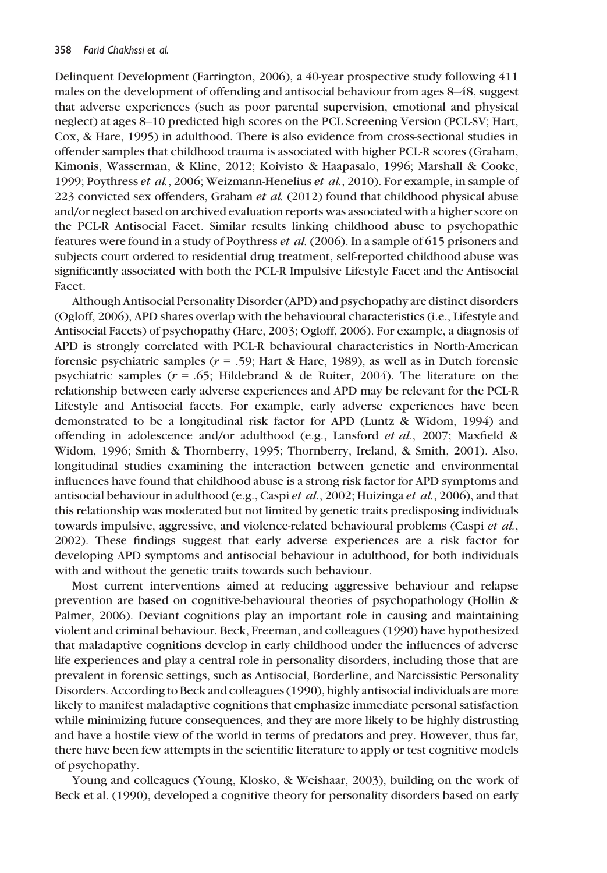Delinquent Development (Farrington, 2006), a 40-year prospective study following 411 males on the development of offending and antisocial behaviour from ages 8–48, suggest that adverse experiences (such as poor parental supervision, emotional and physical neglect) at ages 8–10 predicted high scores on the PCL Screening Version (PCL-SV; Hart, Cox, & Hare, 1995) in adulthood. There is also evidence from cross-sectional studies in offender samples that childhood trauma is associated with higher PCL-R scores (Graham, Kimonis, Wasserman, & Kline, 2012; Koivisto & Haapasalo, 1996; Marshall & Cooke, 1999; Poythress et al., 2006; Weizmann-Henelius et al., 2010). For example, in sample of 223 convicted sex offenders, Graham et al. (2012) found that childhood physical abuse and/or neglect based on archived evaluation reports was associated with a higher score on the PCL-R Antisocial Facet. Similar results linking childhood abuse to psychopathic features were found in a study of Poythress et al. (2006). In a sample of 615 prisoners and subjects court ordered to residential drug treatment, self-reported childhood abuse was significantly associated with both the PCL-R Impulsive Lifestyle Facet and the Antisocial Facet.

Although Antisocial Personality Disorder (APD) and psychopathy are distinct disorders (Ogloff, 2006), APD shares overlap with the behavioural characteristics (i.e., Lifestyle and Antisocial Facets) of psychopathy (Hare, 2003; Ogloff, 2006). For example, a diagnosis of APD is strongly correlated with PCL-R behavioural characteristics in North-American forensic psychiatric samples ( $r = .59$ ; Hart & Hare, 1989), as well as in Dutch forensic psychiatric samples ( $r = .65$ ; Hildebrand & de Ruiter, 2004). The literature on the relationship between early adverse experiences and APD may be relevant for the PCL-R Lifestyle and Antisocial facets. For example, early adverse experiences have been demonstrated to be a longitudinal risk factor for APD (Luntz & Widom, 1994) and offending in adolescence and/or adulthood (e.g., Lansford et al., 2007; Maxfield & Widom, 1996; Smith & Thornberry, 1995; Thornberry, Ireland, & Smith, 2001). Also, longitudinal studies examining the interaction between genetic and environmental influences have found that childhood abuse is a strong risk factor for APD symptoms and antisocial behaviour in adulthood (e.g., Caspi et al., 2002; Huizinga et al., 2006), and that this relationship was moderated but not limited by genetic traits predisposing individuals towards impulsive, aggressive, and violence-related behavioural problems (Caspi et al., 2002). These findings suggest that early adverse experiences are a risk factor for developing APD symptoms and antisocial behaviour in adulthood, for both individuals with and without the genetic traits towards such behaviour.

Most current interventions aimed at reducing aggressive behaviour and relapse prevention are based on cognitive-behavioural theories of psychopathology (Hollin & Palmer, 2006). Deviant cognitions play an important role in causing and maintaining violent and criminal behaviour. Beck, Freeman, and colleagues (1990) have hypothesized that maladaptive cognitions develop in early childhood under the influences of adverse life experiences and play a central role in personality disorders, including those that are prevalent in forensic settings, such as Antisocial, Borderline, and Narcissistic Personality Disorders. According to Beck and colleagues (1990), highly antisocial individuals are more likely to manifest maladaptive cognitions that emphasize immediate personal satisfaction while minimizing future consequences, and they are more likely to be highly distrusting and have a hostile view of the world in terms of predators and prey. However, thus far, there have been few attempts in the scientific literature to apply or test cognitive models of psychopathy.

Young and colleagues (Young, Klosko, & Weishaar, 2003), building on the work of Beck et al. (1990), developed a cognitive theory for personality disorders based on early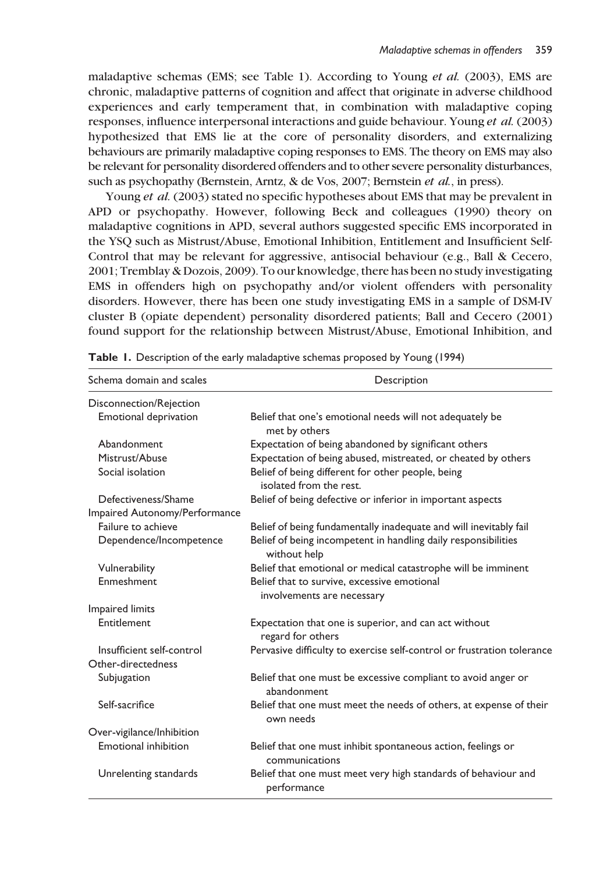maladaptive schemas (EMS; see Table 1). According to Young et al. (2003), EMS are chronic, maladaptive patterns of cognition and affect that originate in adverse childhood experiences and early temperament that, in combination with maladaptive coping responses, influence interpersonal interactions and guide behaviour. Young et al. (2003) hypothesized that EMS lie at the core of personality disorders, and externalizing behaviours are primarily maladaptive coping responses to EMS. The theory on EMS may also be relevant for personality disordered offenders and to other severe personality disturbances, such as psychopathy (Bernstein, Arntz, & de Vos, 2007; Bernstein et al., in press).

Young et al. (2003) stated no specific hypotheses about EMS that may be prevalent in APD or psychopathy. However, following Beck and colleagues (1990) theory on maladaptive cognitions in APD, several authors suggested specific EMS incorporated in the YSQ such as Mistrust/Abuse, Emotional Inhibition, Entitlement and Insufficient Self-Control that may be relevant for aggressive, antisocial behaviour (e.g., Ball & Cecero, 2001; Tremblay & Dozois, 2009). To our knowledge, there has been no study investigating EMS in offenders high on psychopathy and/or violent offenders with personality disorders. However, there has been one study investigating EMS in a sample of DSM-IV cluster B (opiate dependent) personality disordered patients; Ball and Cecero (2001) found support for the relationship between Mistrust/Abuse, Emotional Inhibition, and

| Schema domain and scales      | Description                                                                     |  |  |
|-------------------------------|---------------------------------------------------------------------------------|--|--|
| Disconnection/Rejection       |                                                                                 |  |  |
| Emotional deprivation         | Belief that one's emotional needs will not adequately be<br>met by others       |  |  |
| Abandonment                   | Expectation of being abandoned by significant others                            |  |  |
| Mistrust/Abuse                | Expectation of being abused, mistreated, or cheated by others                   |  |  |
| Social isolation              | Belief of being different for other people, being<br>isolated from the rest.    |  |  |
| Defectiveness/Shame           | Belief of being defective or inferior in important aspects                      |  |  |
| Impaired Autonomy/Performance |                                                                                 |  |  |
| Failure to achieve            | Belief of being fundamentally inadequate and will inevitably fail               |  |  |
| Dependence/Incompetence       | Belief of being incompetent in handling daily responsibilities<br>without help  |  |  |
| Vulnerability                 | Belief that emotional or medical catastrophe will be imminent                   |  |  |
| Enmeshment                    | Belief that to survive, excessive emotional<br>involvements are necessary       |  |  |
| Impaired limits               |                                                                                 |  |  |
| Entitlement                   | Expectation that one is superior, and can act without<br>regard for others      |  |  |
| Insufficient self-control     | Pervasive difficulty to exercise self-control or frustration tolerance          |  |  |
| Other-directedness            |                                                                                 |  |  |
| Subjugation                   | Belief that one must be excessive compliant to avoid anger or<br>abandonment    |  |  |
| Self-sacrifice                | Belief that one must meet the needs of others, at expense of their<br>own needs |  |  |
| Over-vigilance/Inhibition     |                                                                                 |  |  |
| Emotional inhibition          | Belief that one must inhibit spontaneous action, feelings or<br>communications  |  |  |
| Unrelenting standards         | Belief that one must meet very high standards of behaviour and<br>performance   |  |  |

Table 1. Description of the early maladaptive schemas proposed by Young (1994)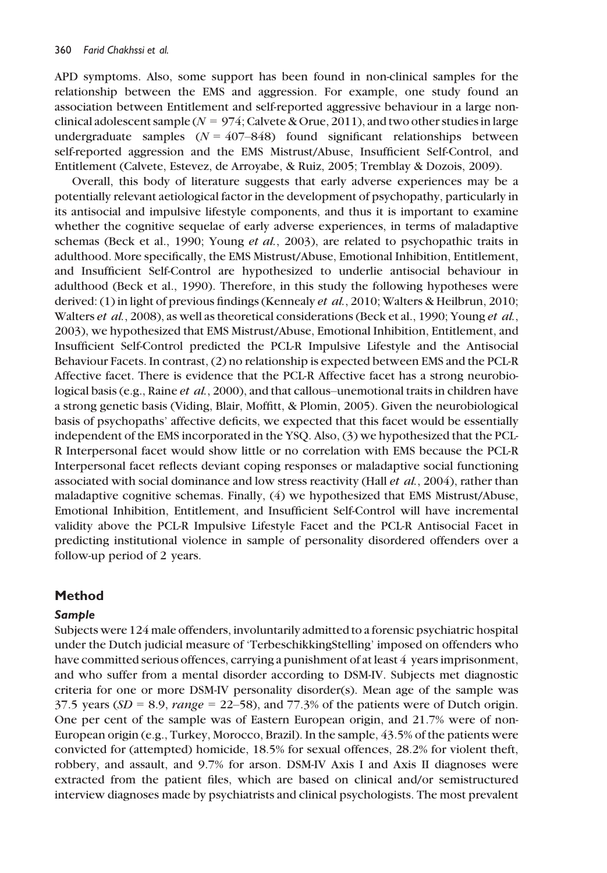APD symptoms. Also, some support has been found in non-clinical samples for the relationship between the EMS and aggression. For example, one study found an association between Entitlement and self-reported aggressive behaviour in a large nonclinical adolescent sample ( $N = 974$ ; Calvete & Orue, 2011), and two other studies in large undergraduate samples  $(N = 407-848)$  found significant relationships between self-reported aggression and the EMS Mistrust/Abuse, Insufficient Self-Control, and Entitlement (Calvete, Estevez, de Arroyabe, & Ruiz, 2005; Tremblay & Dozois, 2009).

Overall, this body of literature suggests that early adverse experiences may be a potentially relevant aetiological factor in the development of psychopathy, particularly in its antisocial and impulsive lifestyle components, and thus it is important to examine whether the cognitive sequelae of early adverse experiences, in terms of maladaptive schemas (Beck et al., 1990; Young et al., 2003), are related to psychopathic traits in adulthood. More specifically, the EMS Mistrust/Abuse, Emotional Inhibition, Entitlement, and Insufficient Self-Control are hypothesized to underlie antisocial behaviour in adulthood (Beck et al., 1990). Therefore, in this study the following hypotheses were derived: (1) in light of previous findings (Kennealy et al., 2010; Walters & Heilbrun, 2010; Walters *et al.*, 2008), as well as theoretical considerations (Beck et al., 1990; Young *et al.*, 2003), we hypothesized that EMS Mistrust/Abuse, Emotional Inhibition, Entitlement, and Insufficient Self-Control predicted the PCL-R Impulsive Lifestyle and the Antisocial Behaviour Facets. In contrast, (2) no relationship is expected between EMS and the PCL-R Affective facet. There is evidence that the PCL-R Affective facet has a strong neurobiological basis (e.g., Raine et al., 2000), and that callous–unemotional traits in children have a strong genetic basis (Viding, Blair, Moffitt, & Plomin, 2005). Given the neurobiological basis of psychopaths' affective deficits, we expected that this facet would be essentially independent of the EMS incorporated in the YSQ. Also, (3) we hypothesized that the PCL-R Interpersonal facet would show little or no correlation with EMS because the PCL-R Interpersonal facet reflects deviant coping responses or maladaptive social functioning associated with social dominance and low stress reactivity (Hall *et al.*, 2004), rather than maladaptive cognitive schemas. Finally, (4) we hypothesized that EMS Mistrust/Abuse, Emotional Inhibition, Entitlement, and Insufficient Self-Control will have incremental validity above the PCL-R Impulsive Lifestyle Facet and the PCL-R Antisocial Facet in predicting institutional violence in sample of personality disordered offenders over a follow-up period of 2 years.

# Method

## Sample

Subjects were 124 male offenders, involuntarily admitted to a forensic psychiatric hospital under the Dutch judicial measure of 'TerbeschikkingStelling' imposed on offenders who have committed serious offences, carrying a punishment of at least 4 years imprisonment, and who suffer from a mental disorder according to DSM-IV. Subjects met diagnostic criteria for one or more DSM-IV personality disorder(s). Mean age of the sample was 37.5 years ( $SD = 8.9$ , range = 22–58), and 77.3% of the patients were of Dutch origin. One per cent of the sample was of Eastern European origin, and 21.7% were of non-European origin (e.g., Turkey, Morocco, Brazil). In the sample, 43.5% of the patients were convicted for (attempted) homicide, 18.5% for sexual offences, 28.2% for violent theft, robbery, and assault, and 9.7% for arson. DSM-IV Axis I and Axis II diagnoses were extracted from the patient files, which are based on clinical and/or semistructured interview diagnoses made by psychiatrists and clinical psychologists. The most prevalent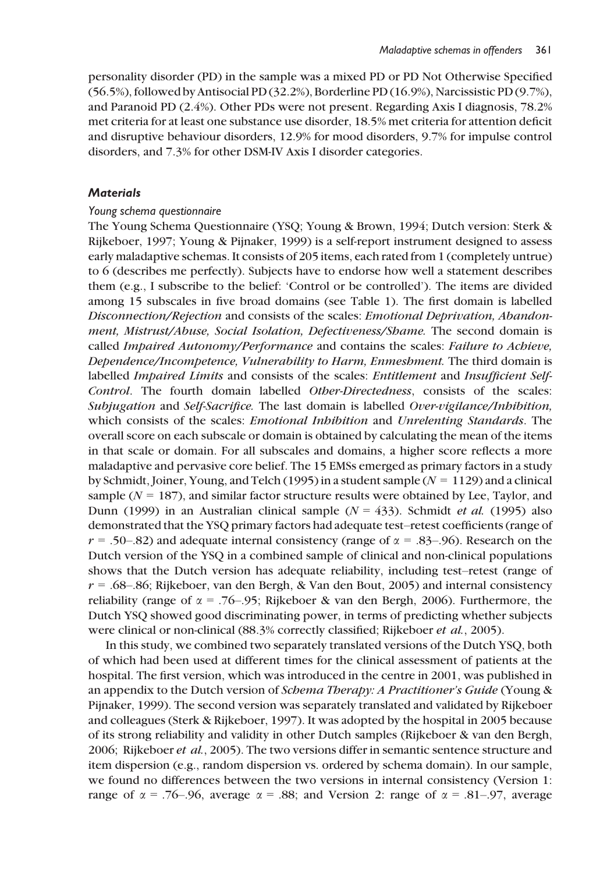personality disorder (PD) in the sample was a mixed PD or PD Not Otherwise Specified (56.5%), followed by Antisocial PD (32.2%), Borderline PD (16.9%), Narcissistic PD (9.7%), and Paranoid PD (2.4%). Other PDs were not present. Regarding Axis I diagnosis, 78.2% met criteria for at least one substance use disorder, 18.5% met criteria for attention deficit and disruptive behaviour disorders, 12.9% for mood disorders, 9.7% for impulse control disorders, and 7.3% for other DSM-IV Axis I disorder categories.

#### **Materials**

#### Young schema questionnaire

The Young Schema Questionnaire (YSQ; Young & Brown, 1994; Dutch version: Sterk & Rijkeboer, 1997; Young & Pijnaker, 1999) is a self-report instrument designed to assess early maladaptive schemas. It consists of 205 items, each rated from 1 (completely untrue) to 6 (describes me perfectly). Subjects have to endorse how well a statement describes them (e.g., I subscribe to the belief: 'Control or be controlled'). The items are divided among 15 subscales in five broad domains (see Table 1). The first domain is labelled Disconnection/Rejection and consists of the scales: Emotional Deprivation, Abandonment, Mistrust/Abuse, Social Isolation, Defectiveness/Shame. The second domain is called Impaired Autonomy/Performance and contains the scales: Failure to Achieve, Dependence/Incompetence, Vulnerability to Harm, Enmeshment. The third domain is labelled Impaired Limits and consists of the scales: Entitlement and Insufficient Self-Control. The fourth domain labelled Other-Directedness, consists of the scales: Subjugation and Self-Sacrifice. The last domain is labelled Over-vigilance/Inhibition, which consists of the scales: *Emotional Inhibition* and *Unrelenting Standards*. The overall score on each subscale or domain is obtained by calculating the mean of the items in that scale or domain. For all subscales and domains, a higher score reflects a more maladaptive and pervasive core belief. The 15 EMSs emerged as primary factors in a study by Schmidt, Joiner, Young, and Telch (1995) in a student sample ( $N = 1129$ ) and a clinical sample  $(N = 187)$ , and similar factor structure results were obtained by Lee, Taylor, and Dunn (1999) in an Australian clinical sample ( $N = 433$ ). Schmidt *et al.* (1995) also demonstrated that the YSQ primary factors had adequate test–retest coefficients (range of  $r = .50-.82$ ) and adequate internal consistency (range of  $\alpha = .83-.96$ ). Research on the Dutch version of the YSQ in a combined sample of clinical and non-clinical populations shows that the Dutch version has adequate reliability, including test–retest (range of  $r = .68–.86$ ; Rijkeboer, van den Bergh, & Van den Bout, 2005) and internal consistency reliability (range of  $\alpha = .76-.95$ ; Rijkeboer & van den Bergh, 2006). Furthermore, the Dutch YSQ showed good discriminating power, in terms of predicting whether subjects were clinical or non-clinical (88.3% correctly classified; Rijkeboer et al., 2005).

In this study, we combined two separately translated versions of the Dutch YSQ, both of which had been used at different times for the clinical assessment of patients at the hospital. The first version, which was introduced in the centre in 2001, was published in an appendix to the Dutch version of Schema Therapy: A Practitioner's Guide (Young & Pijnaker, 1999). The second version was separately translated and validated by Rijkeboer and colleagues (Sterk & Rijkeboer, 1997). It was adopted by the hospital in 2005 because of its strong reliability and validity in other Dutch samples (Rijkeboer & van den Bergh, 2006; Rijkeboer et al., 2005). The two versions differ in semantic sentence structure and item dispersion (e.g., random dispersion vs. ordered by schema domain). In our sample, we found no differences between the two versions in internal consistency (Version 1: range of  $\alpha = .76-.96$ , average  $\alpha = .88$ ; and Version 2: range of  $\alpha = .81-.97$ , average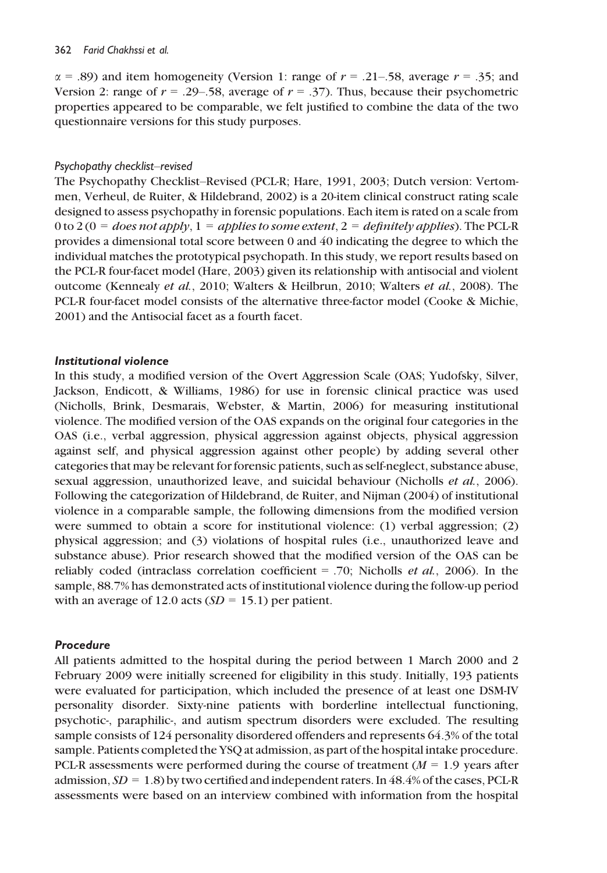$\alpha$  = .89) and item homogeneity (Version 1: range of  $r = .21-.58$ , average  $r = .35$ ; and Version 2: range of  $r = .29-.58$ , average of  $r = .37$ ). Thus, because their psychometric properties appeared to be comparable, we felt justified to combine the data of the two questionnaire versions for this study purposes.

## Psychopathy checklist–revised

The Psychopathy Checklist–Revised (PCL-R; Hare, 1991, 2003; Dutch version: Vertommen, Verheul, de Ruiter, & Hildebrand, 2002) is a 20-item clinical construct rating scale designed to assess psychopathy in forensic populations. Each item is rated on a scale from 0 to 2 (0 = does not apply, 1 = applies to some extent, 2 = definitely applies). The PCL-R provides a dimensional total score between 0 and 40 indicating the degree to which the individual matches the prototypical psychopath. In this study, we report results based on the PCL-R four-facet model (Hare, 2003) given its relationship with antisocial and violent outcome (Kennealy et al., 2010; Walters & Heilbrun, 2010; Walters et al., 2008). The PCL-R four-facet model consists of the alternative three-factor model (Cooke & Michie, 2001) and the Antisocial facet as a fourth facet.

#### Institutional violence

In this study, a modified version of the Overt Aggression Scale (OAS; Yudofsky, Silver, Jackson, Endicott, & Williams, 1986) for use in forensic clinical practice was used (Nicholls, Brink, Desmarais, Webster, & Martin, 2006) for measuring institutional violence. The modified version of the OAS expands on the original four categories in the OAS (i.e., verbal aggression, physical aggression against objects, physical aggression against self, and physical aggression against other people) by adding several other categories that may be relevant for forensic patients, such as self-neglect, substance abuse, sexual aggression, unauthorized leave, and suicidal behaviour (Nicholls et al., 2006). Following the categorization of Hildebrand, de Ruiter, and Nijman (2004) of institutional violence in a comparable sample, the following dimensions from the modified version were summed to obtain a score for institutional violence: (1) verbal aggression; (2) physical aggression; and (3) violations of hospital rules (i.e., unauthorized leave and substance abuse). Prior research showed that the modified version of the OAS can be reliably coded (intraclass correlation coefficient  $= .70$ ; Nicholls *et al.*, 2006). In the sample, 88.7% has demonstrated acts of institutional violence during the follow-up period with an average of 12.0 acts ( $SD = 15.1$ ) per patient.

## Procedure

All patients admitted to the hospital during the period between 1 March 2000 and 2 February 2009 were initially screened for eligibility in this study. Initially, 193 patients were evaluated for participation, which included the presence of at least one DSM-IV personality disorder. Sixty-nine patients with borderline intellectual functioning, psychotic-, paraphilic-, and autism spectrum disorders were excluded. The resulting sample consists of 124 personality disordered offenders and represents 64.3% of the total sample. Patients completed the YSQ at admission, as part of the hospital intake procedure. PCL-R assessments were performed during the course of treatment  $(M = 1.9$  years after admission,  $SD = 1.8$ ) by two certified and independent raters. In 48.4% of the cases, PCL-R assessments were based on an interview combined with information from the hospital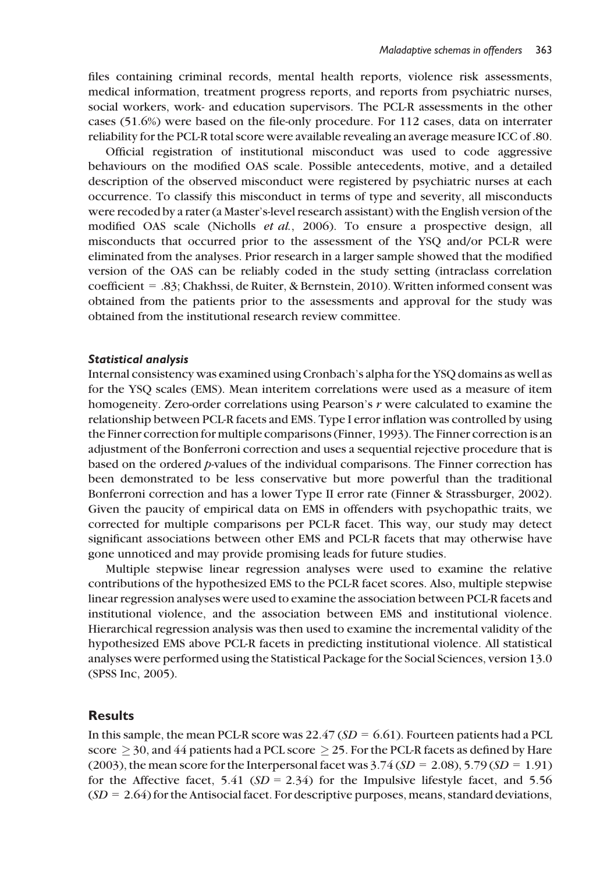files containing criminal records, mental health reports, violence risk assessments, medical information, treatment progress reports, and reports from psychiatric nurses, social workers, work- and education supervisors. The PCL-R assessments in the other cases (51.6%) were based on the file-only procedure. For 112 cases, data on interrater reliability for the PCL-R total score were available revealing an average measure ICC of .80.

Official registration of institutional misconduct was used to code aggressive behaviours on the modified OAS scale. Possible antecedents, motive, and a detailed description of the observed misconduct were registered by psychiatric nurses at each occurrence. To classify this misconduct in terms of type and severity, all misconducts were recoded by a rater (a Master's-level research assistant) with the English version of the modified OAS scale (Nicholls *et al.*, 2006). To ensure a prospective design, all misconducts that occurred prior to the assessment of the YSQ and/or PCL-R were eliminated from the analyses. Prior research in a larger sample showed that the modified version of the OAS can be reliably coded in the study setting (intraclass correlation coefficient = .83; Chakhssi, de Ruiter, & Bernstein, 2010). Written informed consent was obtained from the patients prior to the assessments and approval for the study was obtained from the institutional research review committee.

#### Statistical analysis

Internal consistency was examined using Cronbach's alpha for the YSQ domains as well as for the YSQ scales (EMS). Mean interitem correlations were used as a measure of item homogeneity. Zero-order correlations using Pearson's r were calculated to examine the relationship between PCL-R facets and EMS. Type I error inflation was controlled by using the Finner correction for multiple comparisons (Finner, 1993). The Finner correction is an adjustment of the Bonferroni correction and uses a sequential rejective procedure that is based on the ordered p-values of the individual comparisons. The Finner correction has been demonstrated to be less conservative but more powerful than the traditional Bonferroni correction and has a lower Type II error rate (Finner & Strassburger, 2002). Given the paucity of empirical data on EMS in offenders with psychopathic traits, we corrected for multiple comparisons per PCL-R facet. This way, our study may detect significant associations between other EMS and PCL-R facets that may otherwise have gone unnoticed and may provide promising leads for future studies.

Multiple stepwise linear regression analyses were used to examine the relative contributions of the hypothesized EMS to the PCL-R facet scores. Also, multiple stepwise linear regression analyses were used to examine the association between PCL-R facets and institutional violence, and the association between EMS and institutional violence. Hierarchical regression analysis was then used to examine the incremental validity of the hypothesized EMS above PCL-R facets in predicting institutional violence. All statistical analyses were performed using the Statistical Package for the Social Sciences, version 13.0 (SPSS Inc, 2005).

#### Results

In this sample, the mean PCL-R score was  $22.47(SD = 6.61)$ . Fourteen patients had a PCL score  $>$  30, and 44 patients had a PCL score  $>$  25. For the PCL-R facets as defined by Hare (2003), the mean score for the Interpersonal facet was  $3.74(SD = 2.08)$ ,  $5.79(SD = 1.91)$ for the Affective facet, 5.41 ( $SD = 2.34$ ) for the Impulsive lifestyle facet, and 5.56  $(SD = 2.64)$  for the Antisocial facet. For descriptive purposes, means, standard deviations,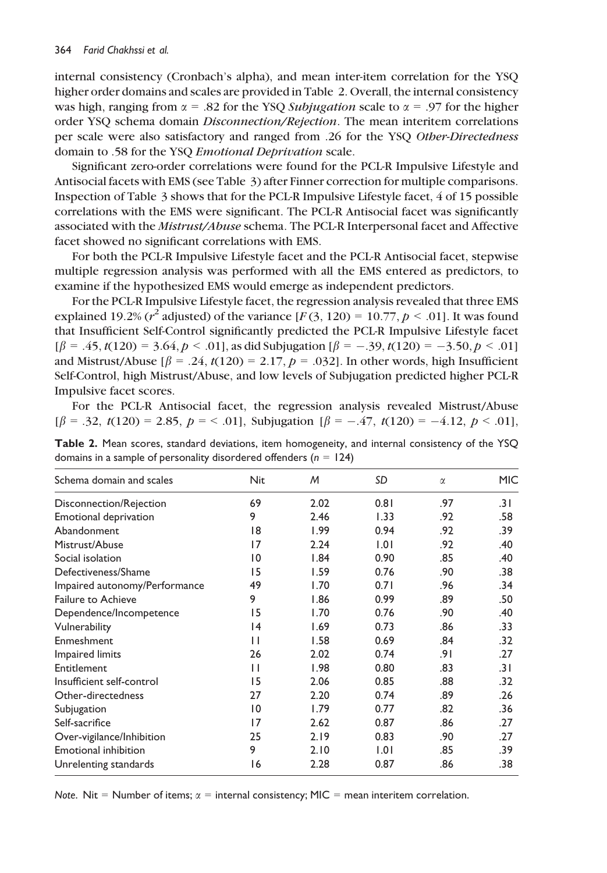internal consistency (Cronbach's alpha), and mean inter-item correlation for the YSQ higher order domains and scales are provided in Table 2. Overall, the internal consistency was high, ranging from  $\alpha$  = .82 for the YSQ *Subjugation* scale to  $\alpha$  = .97 for the higher order YSQ schema domain Disconnection/Rejection. The mean interitem correlations per scale were also satisfactory and ranged from .26 for the YSQ Other-Directedness domain to .58 for the YSQ Emotional Deprivation scale.

Significant zero-order correlations were found for the PCL-R Impulsive Lifestyle and Antisocial facets with EMS (see Table 3) after Finner correction for multiple comparisons. Inspection of Table 3 shows that for the PCL-R Impulsive Lifestyle facet, 4 of 15 possible correlations with the EMS were significant. The PCL-R Antisocial facet was significantly associated with the Mistrust/Abuse schema. The PCL-R Interpersonal facet and Affective facet showed no significant correlations with EMS.

For both the PCL-R Impulsive Lifestyle facet and the PCL-R Antisocial facet, stepwise multiple regression analysis was performed with all the EMS entered as predictors, to examine if the hypothesized EMS would emerge as independent predictors.

For the PCL-R Impulsive Lifestyle facet, the regression analysis revealed that three EMS explained 19.2% ( $r^2$  adjusted) of the variance [ $F(3, 120) = 10.77, p \le .01$ ]. It was found that Insufficient Self-Control significantly predicted the PCL-R Impulsive Lifestyle facet  $[\beta = .45, t(120) = 3.64, p < .01]$ , as did Subjugation  $[\beta = -.39, t(120) = -3.50, p < .01]$ and Mistrust/Abuse  $\beta = .24$ ,  $t(120) = 2.17$ ,  $p = .032$ . In other words, high Insufficient Self-Control, high Mistrust/Abuse, and low levels of Subjugation predicted higher PCL-R Impulsive facet scores.

For the PCL-R Antisocial facet, the regression analysis revealed Mistrust/Abuse  $[\beta = .32, t(120) = 2.85, p = < .01]$ , Subjugation  $[\beta = -.47, t(120) = -4.12, p < .01]$ ,

| Schema domain and scales      | Nit             | M    | SD   | $\alpha$ | <b>MIC</b> |
|-------------------------------|-----------------|------|------|----------|------------|
| Disconnection/Rejection       | 69              | 2.02 | 0.81 | .97      | .31        |
| Emotional deprivation         | 9               | 2.46 | 1.33 | .92      | .58        |
| Abandonment                   | 18              | 1.99 | 0.94 | .92      | .39        |
| Mistrust/Abuse                | 17              | 2.24 | 1.01 | .92      | .40        |
| Social isolation              | $\overline{10}$ | 1.84 | 0.90 | .85      | .40        |
| Defectiveness/Shame           | 15              | 1.59 | 0.76 | .90      | .38        |
| Impaired autonomy/Performance | 49              | 1.70 | 0.71 | .96      | .34        |
| <b>Failure to Achieve</b>     | 9               | 1.86 | 0.99 | .89      | .50        |
| Dependence/Incompetence       | 15              | 1.70 | 0.76 | .90      | .40        |
| Vulnerability                 | 4               | 1.69 | 0.73 | .86      | .33        |
| Enmeshment                    | П               | 1.58 | 0.69 | .84      | .32        |
| Impaired limits               | 26              | 2.02 | 0.74 | .91      | .27        |
| Entitlement                   | П               | 1.98 | 0.80 | .83      | .31        |
| Insufficient self-control     | 15              | 2.06 | 0.85 | .88      | .32        |
| Other-directedness            | 27              | 2.20 | 0.74 | .89      | .26        |
| Subjugation                   | $\overline{10}$ | 1.79 | 0.77 | .82      | .36        |
| Self-sacrifice                | 17              | 2.62 | 0.87 | .86      | .27        |
| Over-vigilance/Inhibition     | 25              | 2.19 | 0.83 | .90      | .27        |
| Emotional inhibition          | 9               | 2.10 | 1.01 | .85      | .39        |
| Unrelenting standards         | 16              | 2.28 | 0.87 | .86      | .38        |
|                               |                 |      |      |          |            |

Table 2. Mean scores, standard deviations, item homogeneity, and internal consistency of the YSQ domains in a sample of personality disordered offenders ( $n = 124$ )

Note. Nit = Number of items;  $\alpha$  = internal consistency; MIC = mean interitem correlation.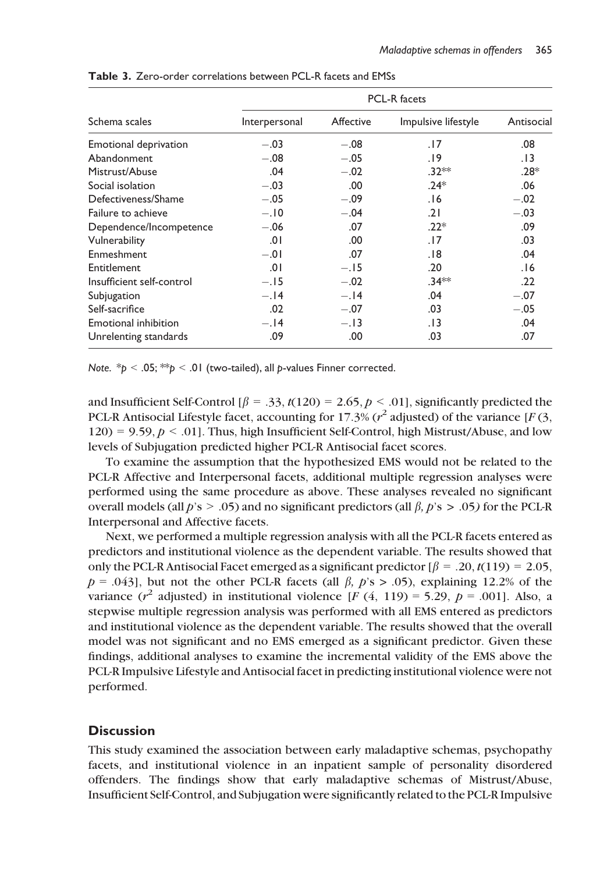|                           | <b>PCL-R</b> facets |           |                     |            |  |  |
|---------------------------|---------------------|-----------|---------------------|------------|--|--|
| Schema scales             | Interpersonal       | Affective | Impulsive lifestyle | Antisocial |  |  |
| Emotional deprivation     | $-.03$              | $-.08$    | .17                 | .08        |  |  |
| Abandonment               | $-.08$              | $-.05$    | .19                 | .13        |  |  |
| Mistrust/Abuse            | .04                 | $-.02$    | $.32**$             | $.28*$     |  |  |
| Social isolation          | $-.03$              | .00       | $.24*$              | .06        |  |  |
| Defectiveness/Shame       | $-.05$              | $-.09$    | .16                 | $-.02$     |  |  |
| Failure to achieve        | $-.10$              | $-.04$    | .21                 | $-.03$     |  |  |
| Dependence/Incompetence   | $-.06$              | .07       | $.22*$              | .09        |  |  |
| Vulnerability             | .01                 | .00       | .17                 | .03        |  |  |
| Enmeshment                | $-.01$              | .07       | .18                 | .04        |  |  |
| Entitlement               | 0۱.                 | $-.15$    | .20                 | .16        |  |  |
| Insufficient self-control | $-.15$              | $-.02$    | $.34**$             | .22        |  |  |
| Subjugation               | $-.14$              | $-.14$    | .04                 | $-.07$     |  |  |
| Self-sacrifice            | .02                 | $-.07$    | .03                 | $-.05$     |  |  |
| Emotional inhibition      | $-.14$              | $-.13$    | .13                 | .04        |  |  |
| Unrelenting standards     | .09                 | .00       | .03                 | .07        |  |  |

Table 3. Zero-order correlations between PCL-R facets and EMSs

Note.  $* p < .05$ ;  $* p < .01$  (two-tailed), all p-values Finner corrected.

and Insufficient Self-Control  $\beta = .33$ ,  $t(120) = 2.65$ ,  $p < .01$ , significantly predicted the PCL-R Antisocial Lifestyle facet, accounting for 17.3% ( $r^2$  adjusted) of the variance [F(3,  $120$ ) = 9.59,  $p < .01$ . Thus, high Insufficient Self-Control, high Mistrust/Abuse, and low levels of Subjugation predicted higher PCL-R Antisocial facet scores.

To examine the assumption that the hypothesized EMS would not be related to the PCL-R Affective and Interpersonal facets, additional multiple regression analyses were performed using the same procedure as above. These analyses revealed no significant overall models (all  $p$ 's  $> .05$ ) and no significant predictors (all  $\beta$ ,  $p$ 's  $> .05$ ) for the PCL-R Interpersonal and Affective facets.

Next, we performed a multiple regression analysis with all the PCL-R facets entered as predictors and institutional violence as the dependent variable. The results showed that only the PCL-R Antisocial Facet emerged as a significant predictor  $\beta = .20, t(119) = 2.05$ ,  $p = .043$ , but not the other PCL-R facets (all  $\beta$ ,  $p's > .05$ ), explaining 12.2% of the variance ( $r^2$  adjusted) in institutional violence [ $\overline{F}(4, 119) = 5.29$ ,  $p = .001$ ]. Also, a stepwise multiple regression analysis was performed with all EMS entered as predictors and institutional violence as the dependent variable. The results showed that the overall model was not significant and no EMS emerged as a significant predictor. Given these findings, additional analyses to examine the incremental validity of the EMS above the PCL-R Impulsive Lifestyle and Antisocial facet in predicting institutional violence were not performed.

#### **Discussion**

This study examined the association between early maladaptive schemas, psychopathy facets, and institutional violence in an inpatient sample of personality disordered offenders. The findings show that early maladaptive schemas of Mistrust/Abuse, Insufficient Self-Control, and Subjugation were significantly related to the PCL-R Impulsive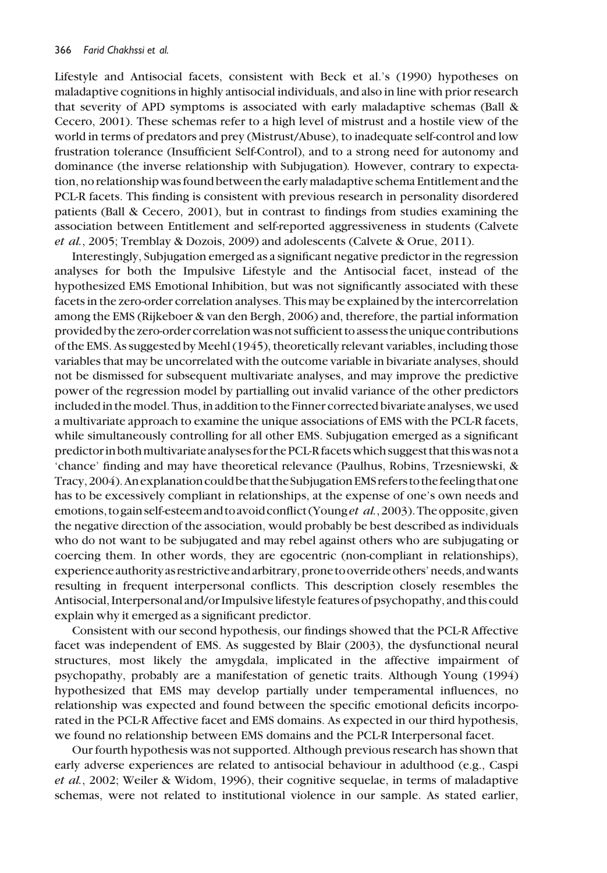Lifestyle and Antisocial facets, consistent with Beck et al.'s (1990) hypotheses on maladaptive cognitions in highly antisocial individuals, and also in line with prior research that severity of APD symptoms is associated with early maladaptive schemas (Ball & Cecero, 2001). These schemas refer to a high level of mistrust and a hostile view of the world in terms of predators and prey (Mistrust/Abuse), to inadequate self-control and low frustration tolerance (Insufficient Self-Control), and to a strong need for autonomy and dominance (the inverse relationship with Subjugation). However, contrary to expectation, no relationshipwas found between the earlymaladaptive schema Entitlement and the PCL-R facets. This finding is consistent with previous research in personality disordered patients (Ball & Cecero, 2001), but in contrast to findings from studies examining the association between Entitlement and self-reported aggressiveness in students (Calvete et al., 2005; Tremblay & Dozois, 2009) and adolescents (Calvete & Orue, 2011).

Interestingly, Subjugation emerged as a significant negative predictor in the regression analyses for both the Impulsive Lifestyle and the Antisocial facet, instead of the hypothesized EMS Emotional Inhibition, but was not significantly associated with these facets in the zero-order correlation analyses. This may be explained by the intercorrelation among the EMS (Rijkeboer & van den Bergh, 2006) and, therefore, the partial information provided by the zero-order correlationwas not sufficient to assess the uniquecontributions of the EMS. As suggested by Meehl (1945), theoretically relevant variables, including those variables that may be uncorrelated with the outcome variable in bivariate analyses, should not be dismissed for subsequent multivariate analyses, and may improve the predictive power of the regression model by partialling out invalid variance of the other predictors included in the model. Thus, in addition to the Finner corrected bivariate analyses, we used a multivariate approach to examine the unique associations of EMS with the PCL-R facets, while simultaneously controlling for all other EMS. Subjugation emerged as a significant predictorin bothmultivariate analyses for the PCL-R facetswhich suggest that thiswas not a 'chance' finding and may have theoretical relevance (Paulhus, Robins, Trzesniewski, & Tracy, 2004). An explanation could be that the Subjugation EMS refers to the feeling that one has to be excessively compliant in relationships, at the expense of one's own needs and emotions, to gain self-esteem and to avoid conflict (Young et al., 2003). The opposite, given the negative direction of the association, would probably be best described as individuals who do not want to be subjugated and may rebel against others who are subjugating or coercing them. In other words, they are egocentric (non-compliant in relationships), experience authorityas restrictiveandarbitrary, prone to override others' needs,andwants resulting in frequent interpersonal conflicts. This description closely resembles the Antisocial, Interpersonal and/or Impulsive lifestyle features of psychopathy, and this could explain why it emerged as a significant predictor.

Consistent with our second hypothesis, our findings showed that the PCL-R Affective facet was independent of EMS. As suggested by Blair (2003), the dysfunctional neural structures, most likely the amygdala, implicated in the affective impairment of psychopathy, probably are a manifestation of genetic traits. Although Young (1994) hypothesized that EMS may develop partially under temperamental influences, no relationship was expected and found between the specific emotional deficits incorporated in the PCL-R Affective facet and EMS domains. As expected in our third hypothesis, we found no relationship between EMS domains and the PCL-R Interpersonal facet.

Our fourth hypothesis was not supported. Although previous research has shown that early adverse experiences are related to antisocial behaviour in adulthood (e.g., Caspi et al., 2002; Weiler & Widom, 1996), their cognitive sequelae, in terms of maladaptive schemas, were not related to institutional violence in our sample. As stated earlier,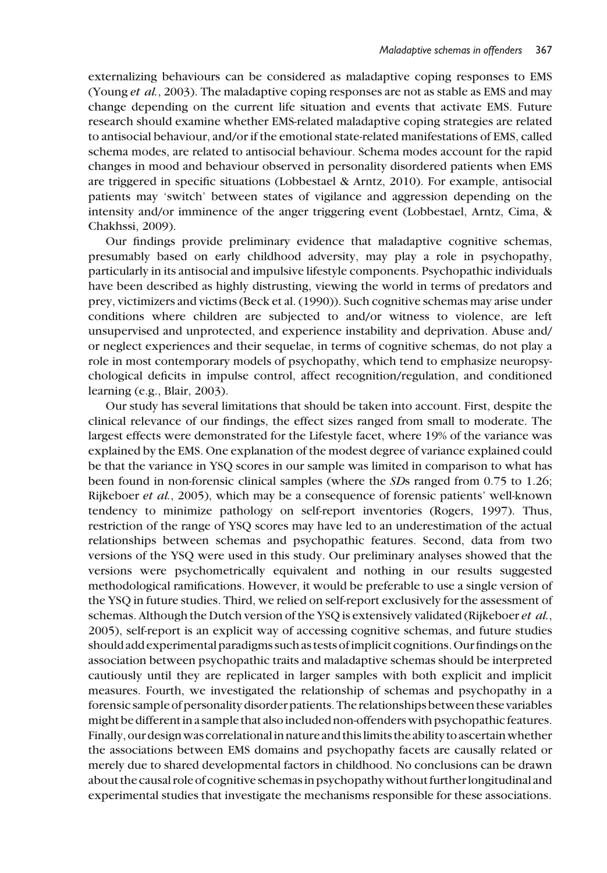externalizing behaviours can be considered as maladaptive coping responses to EMS (Young et al., 2003). The maladaptive coping responses are not as stable as EMS and may change depending on the current life situation and events that activate EMS. Future research should examine whether EMS-related maladaptive coping strategies are related to antisocial behaviour, and/or if the emotional state-related manifestations of EMS, called schema modes, are related to antisocial behaviour. Schema modes account for the rapid changes in mood and behaviour observed in personality disordered patients when EMS are triggered in specific situations (Lobbestael & Arntz, 2010). For example, antisocial patients may 'switch' between states of vigilance and aggression depending on the intensity and/or imminence of the anger triggering event (Lobbestael, Arntz, Cima, & Chakhssi, 2009).

Our findings provide preliminary evidence that maladaptive cognitive schemas, presumably based on early childhood adversity, may play a role in psychopathy, particularly in its antisocial and impulsive lifestyle components. Psychopathic individuals have been described as highly distrusting, viewing the world in terms of predators and prey, victimizers and victims (Beck et al. (1990)). Such cognitive schemas may arise under conditions where children are subjected to and/or witness to violence, are left unsupervised and unprotected, and experience instability and deprivation. Abuse and/ or neglect experiences and their sequelae, in terms of cognitive schemas, do not play a role in most contemporary models of psychopathy, which tend to emphasize neuropsychological deficits in impulse control, affect recognition/regulation, and conditioned learning (e.g., Blair, 2003).

Our study has several limitations that should be taken into account. First, despite the clinical relevance of our findings, the effect sizes ranged from small to moderate. The largest effects were demonstrated for the Lifestyle facet, where 19% of the variance was explained by the EMS. One explanation of the modest degree of variance explained could be that the variance in YSQ scores in our sample was limited in comparison to what has been found in non-forensic clinical samples (where the SDs ranged from 0.75 to 1.26; Rijkeboer et al., 2005), which may be a consequence of forensic patients' well-known tendency to minimize pathology on self-report inventories (Rogers, 1997). Thus, restriction of the range of YSQ scores may have led to an underestimation of the actual relationships between schemas and psychopathic features. Second, data from two versions of the YSQ were used in this study. Our preliminary analyses showed that the versions were psychometrically equivalent and nothing in our results suggested methodological ramifications. However, it would be preferable to use a single version of the YSQ in future studies. Third, we relied on self-report exclusively for the assessment of schemas. Although the Dutch version of the YSQ is extensively validated (Rijkeboer *et al.*, 2005), self-report is an explicit way of accessing cognitive schemas, and future studies should add experimental paradigms such as tests of implicit cognitions. Our findings on the association between psychopathic traits and maladaptive schemas should be interpreted cautiously until they are replicated in larger samples with both explicit and implicit measures. Fourth, we investigated the relationship of schemas and psychopathy in a forensic sample of personality disorder patients. The relationships between these variables might be different in a sample that also included non-offenders with psychopathic features. Finally, our designwas correlationalin nature and thislimits the ability to ascertainwhether the associations between EMS domains and psychopathy facets are causally related or merely due to shared developmental factors in childhood. No conclusions can be drawn about the causal role of cognitive schemas in psychopathy without further longitudinal and experimental studies that investigate the mechanisms responsible for these associations.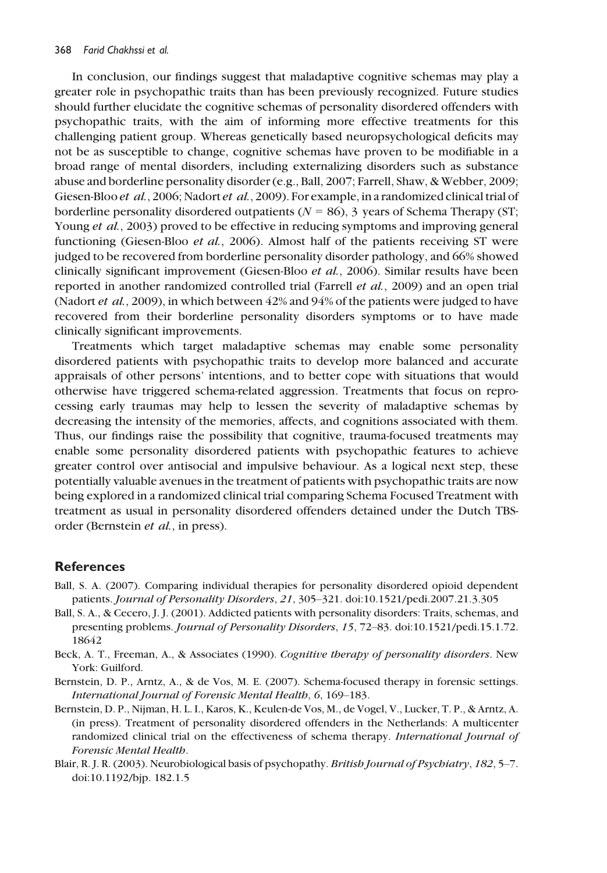In conclusion, our findings suggest that maladaptive cognitive schemas may play a greater role in psychopathic traits than has been previously recognized. Future studies should further elucidate the cognitive schemas of personality disordered offenders with psychopathic traits, with the aim of informing more effective treatments for this challenging patient group. Whereas genetically based neuropsychological deficits may not be as susceptible to change, cognitive schemas have proven to be modifiable in a broad range of mental disorders, including externalizing disorders such as substance abuse and borderline personality disorder (e.g., Ball, 2007; Farrell, Shaw, & Webber, 2009; Giesen-Bloo et al., 2006; Nadort et al., 2009). For example, in a randomized clinical trial of borderline personality disordered outpatients ( $N = 86$ ), 3 years of Schema Therapy (ST; Young *et al.*, 2003) proved to be effective in reducing symptoms and improving general functioning (Giesen-Bloo et al., 2006). Almost half of the patients receiving ST were judged to be recovered from borderline personality disorder pathology, and 66% showed clinically significant improvement (Giesen-Bloo et al., 2006). Similar results have been reported in another randomized controlled trial (Farrell et al., 2009) and an open trial (Nadort et al., 2009), in which between 42% and 94% of the patients were judged to have recovered from their borderline personality disorders symptoms or to have made clinically significant improvements.

Treatments which target maladaptive schemas may enable some personality disordered patients with psychopathic traits to develop more balanced and accurate appraisals of other persons' intentions, and to better cope with situations that would otherwise have triggered schema-related aggression. Treatments that focus on reprocessing early traumas may help to lessen the severity of maladaptive schemas by decreasing the intensity of the memories, affects, and cognitions associated with them. Thus, our findings raise the possibility that cognitive, trauma-focused treatments may enable some personality disordered patients with psychopathic features to achieve greater control over antisocial and impulsive behaviour. As a logical next step, these potentially valuable avenues in the treatment of patients with psychopathic traits are now being explored in a randomized clinical trial comparing Schema Focused Treatment with treatment as usual in personality disordered offenders detained under the Dutch TBSorder (Bernstein et al., in press).

#### **References**

- Ball, S. A. (2007). Comparing individual therapies for personality disordered opioid dependent patients. Journal of Personality Disorders, 21, 305–321. doi:10.1521/pedi.2007.21.3.305
- Ball, S. A., & Cecero, J. J. (2001). Addicted patients with personality disorders: Traits, schemas, and presenting problems. Journal of Personality Disorders, 15, 72–83. doi:10.1521/pedi.15.1.72. 18642
- Beck, A. T., Freeman, A., & Associates (1990). Cognitive therapy of personality disorders. New York: Guilford.
- Bernstein, D. P., Arntz, A., & de Vos, M. E. (2007). Schema-focused therapy in forensic settings. International Journal of Forensic Mental Health, 6, 169–183.
- Bernstein, D. P., Nijman, H. L. I., Karos, K., Keulen-de Vos, M., de Vogel, V., Lucker, T. P., & Arntz, A. (in press). Treatment of personality disordered offenders in the Netherlands: A multicenter randomized clinical trial on the effectiveness of schema therapy. International Journal of Forensic Mental Health.
- Blair, R. J. R. (2003). Neurobiological basis of psychopathy. British Journal of Psychiatry, 182, 5–7. doi:10.1192/bjp. 182.1.5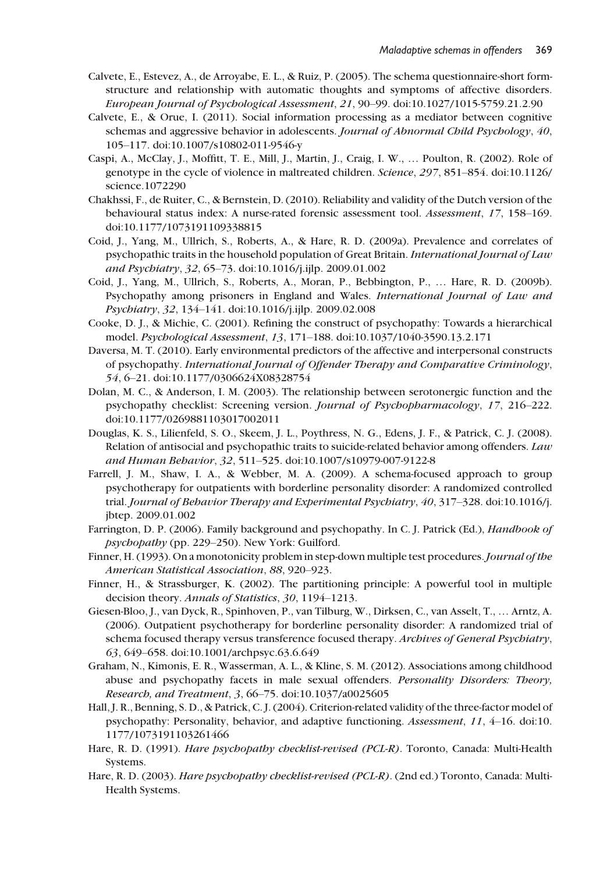- Calvete, E., Estevez, A., de Arroyabe, E. L., & Ruiz, P. (2005). The schema questionnaire-short formstructure and relationship with automatic thoughts and symptoms of affective disorders. European Journal of Psychological Assessment, 21, 90–99. doi:10.1027/1015-5759.21.2.90
- Calvete, E., & Orue, I. (2011). Social information processing as a mediator between cognitive schemas and aggressive behavior in adolescents. Journal of Abnormal Child Psychology, 40, 105–117. doi:10.1007/s10802-011-9546-y
- Caspi, A., McClay, J., Moffitt, T. E., Mill, J., Martin, J., Craig, I. W., … Poulton, R. (2002). Role of genotype in the cycle of violence in maltreated children. Science, 297, 851–854. doi:10.1126/ science.1072290
- Chakhssi, F., de Ruiter, C., & Bernstein, D. (2010). Reliability and validity of the Dutch version of the behavioural status index: A nurse-rated forensic assessment tool. Assessment, 17, 158–169. doi:10.1177/1073191109338815
- Coid, J., Yang, M., Ullrich, S., Roberts, A., & Hare, R. D. (2009a). Prevalence and correlates of psychopathic traits in the household population of Great Britain. International Journal of Law and Psychiatry, 32, 65–73. doi:10.1016/j.ijlp. 2009.01.002
- Coid, J., Yang, M., Ullrich, S., Roberts, A., Moran, P., Bebbington, P., … Hare, R. D. (2009b). Psychopathy among prisoners in England and Wales. International Journal of Law and Psychiatry, 32, 134–141. doi:10.1016/j.ijlp. 2009.02.008
- Cooke, D. J., & Michie, C. (2001). Refining the construct of psychopathy: Towards a hierarchical model. Psychological Assessment, 13, 171–188. doi:10.1037/1040-3590.13.2.171
- Daversa, M. T. (2010). Early environmental predictors of the affective and interpersonal constructs of psychopathy. International Journal of Offender Therapy and Comparative Criminology, 54, 6–21. doi:10.1177/0306624X08328754
- Dolan, M. C., & Anderson, I. M. (2003). The relationship between serotonergic function and the psychopathy checklist: Screening version. Journal of Psychopharmacology, 17, 216–222. doi:10.1177/0269881103017002011
- Douglas, K. S., Lilienfeld, S. O., Skeem, J. L., Poythress, N. G., Edens, J. F., & Patrick, C. J. (2008). Relation of antisocial and psychopathic traits to suicide-related behavior among offenders. Law and Human Behavior, 32, 511–525. doi:10.1007/s10979-007-9122-8
- Farrell, J. M., Shaw, I. A., & Webber, M. A. (2009). A schema-focused approach to group psychotherapy for outpatients with borderline personality disorder: A randomized controlled trial. Journal of Behavior Therapy and Experimental Psychiatry, 40, 317–328. doi:10.1016/j. jbtep. 2009.01.002
- Farrington, D. P. (2006). Family background and psychopathy. In C. J. Patrick (Ed.), Handbook of psychopathy (pp. 229–250). New York: Guilford.
- Finner, H. (1993). On a monotonicity problem in step-down multiple test procedures. Journal of the American Statistical Association, 88, 920–923.
- Finner, H., & Strassburger, K. (2002). The partitioning principle: A powerful tool in multiple decision theory. Annals of Statistics, 30, 1194-1213.
- Giesen-Bloo, J., van Dyck, R., Spinhoven, P., van Tilburg, W., Dirksen, C., van Asselt, T., … Arntz, A. (2006). Outpatient psychotherapy for borderline personality disorder: A randomized trial of schema focused therapy versus transference focused therapy. Archives of General Psychiatry, 63, 649–658. doi:10.1001/archpsyc.63.6.649
- Graham, N., Kimonis, E. R., Wasserman, A. L., & Kline, S. M. (2012). Associations among childhood abuse and psychopathy facets in male sexual offenders. Personality Disorders: Theory, Research, and Treatment, 3, 66–75. doi:10.1037/a0025605
- Hall, J. R., Benning, S. D., & Patrick, C. J. (2004). Criterion-related validity of the three-factor model of psychopathy: Personality, behavior, and adaptive functioning. Assessment, 11, 4–16. doi:10. 1177/1073191103261466
- Hare, R. D. (1991). *Hare psychopathy checklist-revised (PCL-R)*. Toronto, Canada: Multi-Health Systems.
- Hare, R. D. (2003). Hare psychopathy checklist-revised (PCL-R). (2nd ed.) Toronto, Canada: Multi-Health Systems.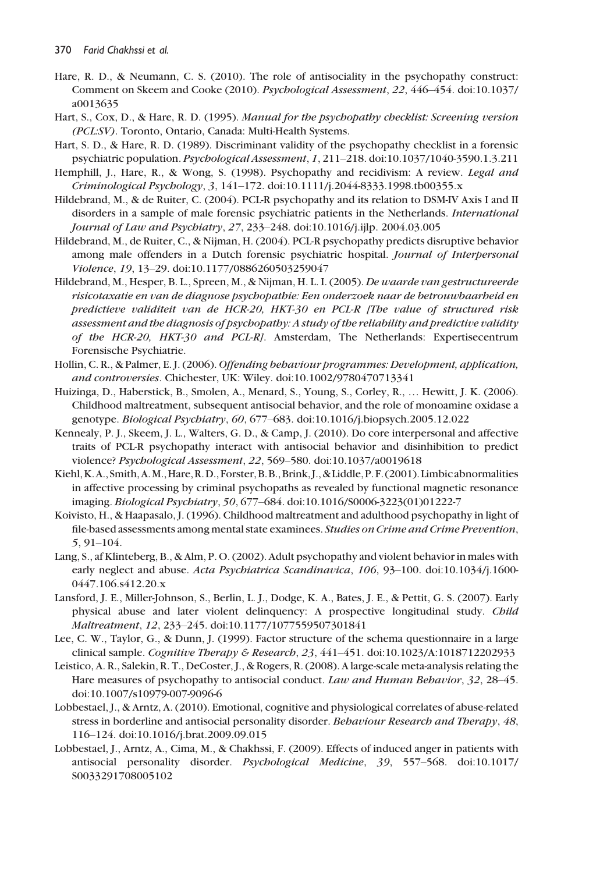- Hare, R. D., & Neumann, C. S. (2010). The role of antisociality in the psychopathy construct: Comment on Skeem and Cooke (2010). Psychological Assessment, 22, 446–454. doi:10.1037/ a0013635
- Hart, S., Cox, D., & Hare, R. D. (1995). Manual for the psychopathy checklist: Screening version (PCL:SV). Toronto, Ontario, Canada: Multi-Health Systems.
- Hart, S. D., & Hare, R. D. (1989). Discriminant validity of the psychopathy checklist in a forensic psychiatric population. Psychological Assessment, 1, 211–218. doi:10.1037/1040-3590.1.3.211
- Hemphill, J., Hare, R., & Wong, S. (1998). Psychopathy and recidivism: A review. Legal and Criminological Psychology, 3, 141–172. doi:10.1111/j.2044-8333.1998.tb00355.x
- Hildebrand, M., & de Ruiter, C. (2004). PCL-R psychopathy and its relation to DSM-IV Axis I and II disorders in a sample of male forensic psychiatric patients in the Netherlands. International Journal of Law and Psychiatry, 27, 233–248. doi:10.1016/j.ijlp. 2004.03.005
- Hildebrand, M., de Ruiter, C., & Nijman, H. (2004). PCL-R psychopathy predicts disruptive behavior among male offenders in a Dutch forensic psychiatric hospital. Journal of Interpersonal Violence, 19, 13–29. doi:10.1177/0886260503259047
- Hildebrand, M., Hesper, B. L., Spreen, M., & Nijman, H. L. I. (2005). De waarde van gestructureerde risicotaxatie en van de diagnose psychopathie: Een onderzoek naar de betrouwbaarheid en predictieve validiteit van de HCR-20, HKT-30 en PCL-R [The value of structured risk assessment and the diagnosis of psychopathy: A study of the reliability and predictive validity of the HCR-20, HKT-30 and PCL-R]. Amsterdam, The Netherlands: Expertisecentrum Forensische Psychiatrie.
- Hollin, C. R., & Palmer, E. J. (2006). Offending behaviour programmes: Development, application, and controversies. Chichester, UK: Wiley. doi:10.1002/9780470713341
- Huizinga, D., Haberstick, B., Smolen, A., Menard, S., Young, S., Corley, R., … Hewitt, J. K. (2006). Childhood maltreatment, subsequent antisocial behavior, and the role of monoamine oxidase a genotype. Biological Psychiatry, 60, 677–683. doi:10.1016/j.biopsych.2005.12.022
- Kennealy, P. J., Skeem, J. L., Walters, G. D., & Camp, J. (2010). Do core interpersonal and affective traits of PCL-R psychopathy interact with antisocial behavior and disinhibition to predict violence? Psychological Assessment, 22, 569–580. doi:10.1037/a0019618
- Kiehl,K.A.,Smith,A.M.,Hare,R.D., Forster,B.B.,Brink, J.,&Liddle,P. F. (2001).Limbicabnormalities in affective processing by criminal psychopaths as revealed by functional magnetic resonance imaging. Biological Psychiatry, 50, 677–684. doi:10.1016/S0006-3223(01)01222-7
- Koivisto, H., & Haapasalo, J. (1996). Childhood maltreatment and adulthood psychopathy in light of file-based assessments among mental state examinees. Studies on Crime and Crime Prevention, 5, 91–104.
- Lang, S., af Klinteberg, B., & Alm, P. O. (2002). Adult psychopathy and violent behavior in males with early neglect and abuse. Acta Psychiatrica Scandinavica, 106, 93-100. doi:10.1034/j.1600-0447.106.s412.20.x
- Lansford, J. E., Miller-Johnson, S., Berlin, L. J., Dodge, K. A., Bates, J. E., & Pettit, G. S. (2007). Early physical abuse and later violent delinquency: A prospective longitudinal study. Child Maltreatment, 12, 233–245. doi:10.1177/1077559507301841
- Lee, C. W., Taylor, G., & Dunn, J. (1999). Factor structure of the schema questionnaire in a large clinical sample. Cognitive Therapy & Research, 23, 441–451. doi:10.1023/A:1018712202933
- Leistico, A. R., Salekin, R. T., DeCoster, J., & Rogers, R. (2008). A large-scale meta-analysis relating the Hare measures of psychopathy to antisocial conduct. Law and Human Behavior, 32, 28–45. doi:10.1007/s10979-007-9096-6
- Lobbestael, J., & Arntz, A. (2010). Emotional, cognitive and physiological correlates of abuse-related stress in borderline and antisocial personality disorder. Behaviour Research and Therapy, 48, 116–124. doi:10.1016/j.brat.2009.09.015
- Lobbestael, J., Arntz, A., Cima, M., & Chakhssi, F. (2009). Effects of induced anger in patients with antisocial personality disorder. Psychological Medicine, 39, 557–568. doi:10.1017/ S0033291708005102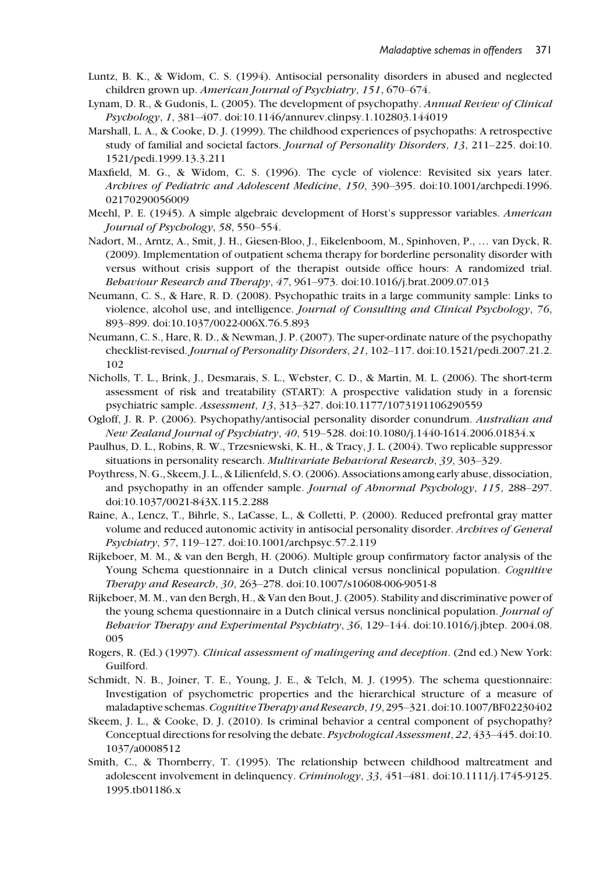- Luntz, B. K., & Widom, C. S. (1994). Antisocial personality disorders in abused and neglected children grown up. American Journal of Psychiatry, 151, 670–674.
- Lynam, D. R., & Gudonis, L. (2005). The development of psychopathy. Annual Review of Clinical Psychology, 1, 381–407. doi:10.1146/annurev.clinpsy.1.102803.144019
- Marshall, L. A., & Cooke, D. J. (1999). The childhood experiences of psychopaths: A retrospective study of familial and societal factors. Journal of Personality Disorders, 13, 211–225. doi:10. 1521/pedi.1999.13.3.211
- Maxfield, M. G., & Widom, C. S. (1996). The cycle of violence: Revisited six years later. Archives of Pediatric and Adolescent Medicine, 150, 390–395. doi:10.1001/archpedi.1996. 02170290056009
- Meehl, P. E. (1945). A simple algebraic development of Horst's suppressor variables. American Journal of Psychology, 58, 550–554.
- Nadort, M., Arntz, A., Smit, J. H., Giesen-Bloo, J., Eikelenboom, M., Spinhoven, P., … van Dyck, R. (2009). Implementation of outpatient schema therapy for borderline personality disorder with versus without crisis support of the therapist outside office hours: A randomized trial. Behaviour Research and Therapy, 47, 961–973. doi:10.1016/j.brat.2009.07.013
- Neumann, C. S., & Hare, R. D. (2008). Psychopathic traits in a large community sample: Links to violence, alcohol use, and intelligence. Journal of Consulting and Clinical Psychology, 76, 893–899. doi:10.1037/0022-006X.76.5.893
- Neumann, C. S., Hare, R. D., & Newman, J. P. (2007). The super-ordinate nature of the psychopathy checklist-revised. Journal of Personality Disorders, 21, 102–117. doi:10.1521/pedi.2007.21.2. 102
- Nicholls, T. L., Brink, J., Desmarais, S. L., Webster, C. D., & Martin, M. L. (2006). The short-term assessment of risk and treatability (START): A prospective validation study in a forensic psychiatric sample. Assessment, 13, 313–327. doi:10.1177/1073191106290559
- Ogloff, J. R. P. (2006). Psychopathy/antisocial personality disorder conundrum. Australian and New Zealand Journal of Psychiatry, 40, 519–528. doi:10.1080/j.1440-1614.2006.01834.x
- Paulhus, D. L., Robins, R. W., Trzesniewski, K. H., & Tracy, J. L. (2004). Two replicable suppressor situations in personality research. Multivariate Behavioral Research, 39, 303–329.
- Poythress, N. G., Skeem, J. L., & Lilienfeld, S. O. (2006). Associations among early abuse, dissociation, and psychopathy in an offender sample. Journal of Abnormal Psychology, 115, 288–297. doi:10.1037/0021-843X.115.2.288
- Raine, A., Lencz, T., Bihrle, S., LaCasse, L., & Colletti, P. (2000). Reduced prefrontal gray matter volume and reduced autonomic activity in antisocial personality disorder. Archives of General Psychiatry, 57, 119–127. doi:10.1001/archpsyc.57.2.119
- Rijkeboer, M. M., & van den Bergh, H. (2006). Multiple group confirmatory factor analysis of the Young Schema questionnaire in a Dutch clinical versus nonclinical population. Cognitive Therapy and Research, 30, 263–278. doi:10.1007/s10608-006-9051-8
- Rijkeboer, M. M., van den Bergh, H., & Van den Bout, J. (2005). Stability and discriminative power of the young schema questionnaire in a Dutch clinical versus nonclinical population. Journal of Behavior Therapy and Experimental Psychiatry, 36, 129–144. doi:10.1016/j.jbtep. 2004.08. 005
- Rogers, R. (Ed.) (1997). Clinical assessment of malingering and deception. (2nd ed.) New York: Guilford.
- Schmidt, N. B., Joiner, T. E., Young, J. E., & Telch, M. J. (1995). The schema questionnaire: Investigation of psychometric properties and the hierarchical structure of a measure of maladaptive schemas.Cognitive Therapy and Research,19, 295–321. doi:10.1007/BF02230402
- Skeem, J. L., & Cooke, D. J. (2010). Is criminal behavior a central component of psychopathy? Conceptual directions for resolving the debate. Psychological Assessment, 22, 433–445. doi:10. 1037/a0008512
- Smith, C., & Thornberry, T. (1995). The relationship between childhood maltreatment and adolescent involvement in delinquency. Criminology, 33, 451–481. doi:10.1111/j.1745-9125. 1995.tb01186.x